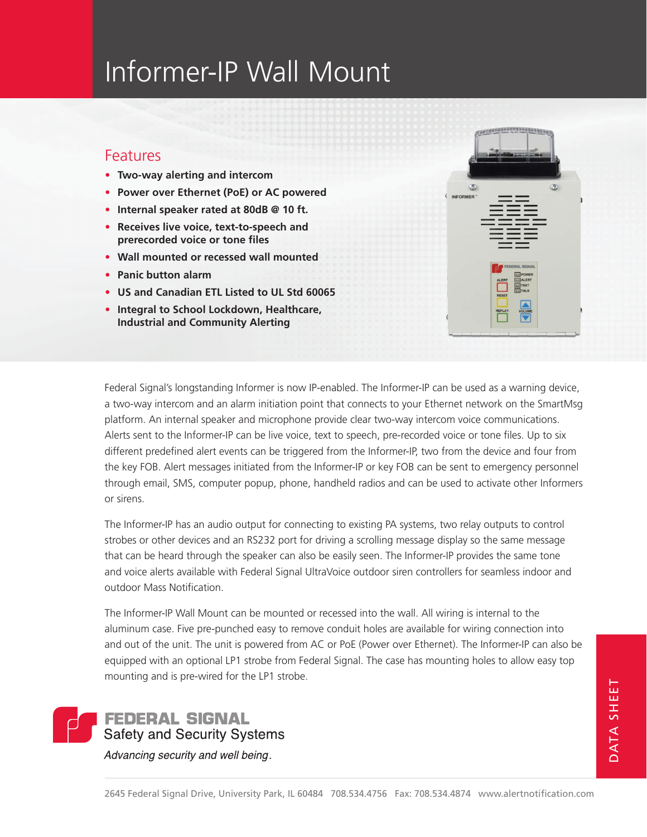## Informer-IP Wall Mount

## **Features**

- **• Two-way alerting and intercom**
- **• Power over Ethernet (PoE) or AC powered**
- **• Internal speaker rated at 80dB @ 10 ft.**
- **• Receives live voice, text-to-speech and prerecorded voice or tone files**
- **• Wall mounted or recessed wall mounted**
- **• Panic button alarm**
- **• US and Canadian ETL Listed to UL Std 60065**
- **• Integral to School Lockdown, Healthcare, Industrial and Community Alerting**



Federal Signal's longstanding Informer is now IP-enabled. The Informer-IP can be used as a warning device, a two-way intercom and an alarm initiation point that connects to your Ethernet network on the SmartMsg platform. An internal speaker and microphone provide clear two-way intercom voice communications. Alerts sent to the Informer-IP can be live voice, text to speech, pre-recorded voice or tone files. Up to six different predefined alert events can be triggered from the Informer-IP, two from the device and four from the key FOB. Alert messages initiated from the Informer-IP or key FOB can be sent to emergency personnel through email, SMS, computer popup, phone, handheld radios and can be used to activate other Informers or sirens.

The Informer-IP has an audio output for connecting to existing PA systems, two relay outputs to control strobes or other devices and an RS232 port for driving a scrolling message display so the same message that can be heard through the speaker can also be easily seen. The Informer-IP provides the same tone and voice alerts available with Federal Signal UltraVoice outdoor siren controllers for seamless indoor and outdoor Mass Notification.

The Informer-IP Wall Mount can be mounted or recessed into the wall. All wiring is internal to the aluminum case. Five pre-punched easy to remove conduit holes are available for wiring connection into and out of the unit. The unit is powered from AC or PoE (Power over Ethernet). The Informer-IP can also be equipped with an optional LP1 strobe from Federal Signal. The case has mounting holes to allow easy top mounting and is pre-wired for the LP1 strobe.



Advancing security and well being.